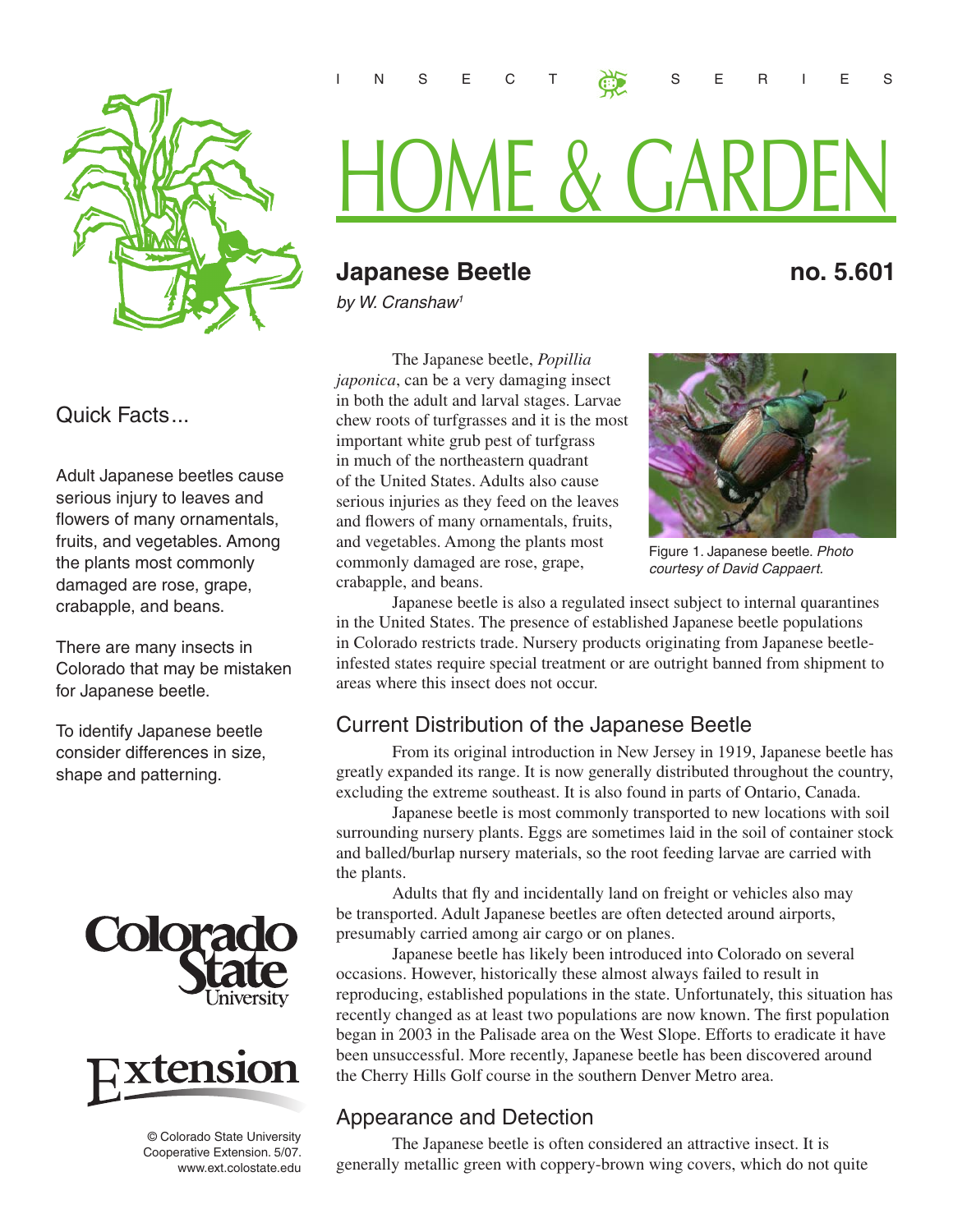

#### Quick Facts...

Adult Japanese beetles cause serious injury to leaves and flowers of many ornamentals, fruits, and vegetables. Among the plants most commonly damaged are rose, grape, crabapple, and beans.

There are many insects in Colorado that may be mistaken for Japanese beetle.

To identify Japanese beetle consider differences in size, shape and patterning.





 © Colorado State University Cooperative Extension. 5/07. www.ext.colostate.edu

# HOME & GARDEN

INSECT SERIES

## **Japanese Beetle no. 5.601**

*by W. Cranshaw1*

The Japanese beetle, *Popillia japonica*, can be a very damaging insect in both the adult and larval stages. Larvae chew roots of turfgrasses and it is the most important white grub pest of turfgrass in much of the northeastern quadrant of the United States. Adults also cause serious injuries as they feed on the leaves and flowers of many ornamentals, fruits, and vegetables. Among the plants most commonly damaged are rose, grape, crabapple, and beans.



Figure 1. Japanese beetle. *Photo courtesy of David Cappaert.*

Japanese beetle is also a regulated insect subject to internal quarantines in the United States. The presence of established Japanese beetle populations in Colorado restricts trade. Nursery products originating from Japanese beetleinfested states require special treatment or are outright banned from shipment to areas where this insect does not occur.

#### Current Distribution of the Japanese Beetle

From its original introduction in New Jersey in 1919, Japanese beetle has greatly expanded its range. It is now generally distributed throughout the country, excluding the extreme southeast. It is also found in parts of Ontario, Canada.

Japanese beetle is most commonly transported to new locations with soil surrounding nursery plants. Eggs are sometimes laid in the soil of container stock and balled/burlap nursery materials, so the root feeding larvae are carried with the plants.

Adults that fly and incidentally land on freight or vehicles also may be transported. Adult Japanese beetles are often detected around airports, presumably carried among air cargo or on planes.

Japanese beetle has likely been introduced into Colorado on several occasions. However, historically these almost always failed to result in reproducing, established populations in the state. Unfortunately, this situation has recently changed as at least two populations are now known. The first population began in 2003 in the Palisade area on the West Slope. Efforts to eradicate it have been unsuccessful. More recently, Japanese beetle has been discovered around the Cherry Hills Golf course in the southern Denver Metro area.

#### Appearance and Detection

The Japanese beetle is often considered an attractive insect. It is generally metallic green with coppery-brown wing covers, which do not quite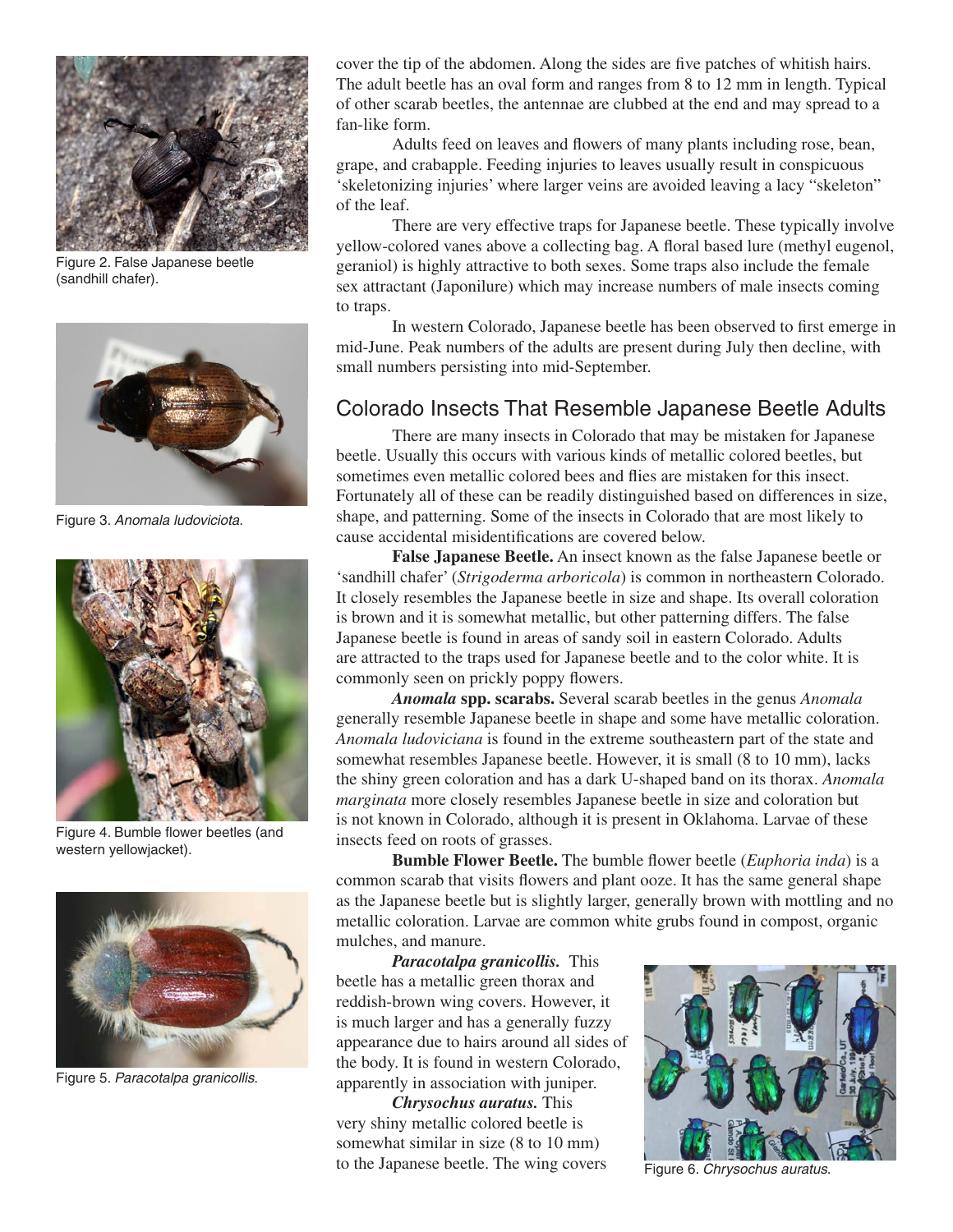

Figure 2. False Japanese beetle (sandhill chafer).



Figure 3. *Anomala ludoviciota*.



Figure 4. Bumble flower beetles (and western yellowjacket).



Figure 5. *Paracotalpa granicollis*.

cover the tip of the abdomen. Along the sides are five patches of whitish hairs. The adult beetle has an oval form and ranges from 8 to 12 mm in length. Typical of other scarab beetles, the antennae are clubbed at the end and may spread to a fan-like form.

Adults feed on leaves and flowers of many plants including rose, bean, grape, and crabapple. Feeding injuries to leaves usually result in conspicuous 'skeletonizing injuries' where larger veins are avoided leaving a lacy "skeleton" of the leaf.

There are very effective traps for Japanese beetle. These typically involve yellow-colored vanes above a collecting bag. A floral based lure (methyl eugenol, geraniol) is highly attractive to both sexes. Some traps also include the female sex attractant (Japonilure) which may increase numbers of male insects coming to traps.

In western Colorado, Japanese beetle has been observed to first emerge in mid-June. Peak numbers of the adults are present during July then decline, with small numbers persisting into mid-September.

#### Colorado Insects That Resemble Japanese Beetle Adults

There are many insects in Colorado that may be mistaken for Japanese beetle. Usually this occurs with various kinds of metallic colored beetles, but sometimes even metallic colored bees and flies are mistaken for this insect. Fortunately all of these can be readily distinguished based on differences in size, shape, and patterning. Some of the insects in Colorado that are most likely to cause accidental misidentifications are covered below.

**False Japanese Beetle.** An insect known as the false Japanese beetle or 'sandhill chafer' (*Strigoderma arboricola*) is common in northeastern Colorado. It closely resembles the Japanese beetle in size and shape. Its overall coloration is brown and it is somewhat metallic, but other patterning differs. The false Japanese beetle is found in areas of sandy soil in eastern Colorado. Adults are attracted to the traps used for Japanese beetle and to the color white. It is commonly seen on prickly poppy flowers.

*Anomala* **spp. scarabs.** Several scarab beetles in the genus *Anomala* generally resemble Japanese beetle in shape and some have metallic coloration. *Anomala ludoviciana* is found in the extreme southeastern part of the state and somewhat resembles Japanese beetle. However, it is small (8 to 10 mm), lacks the shiny green coloration and has a dark U-shaped band on its thorax. *Anomala marginata* more closely resembles Japanese beetle in size and coloration but is not known in Colorado, although it is present in Oklahoma. Larvae of these insects feed on roots of grasses.

**Bumble Flower Beetle.** The bumble flower beetle (*Euphoria inda*) is a common scarab that visits flowers and plant ooze. It has the same general shape as the Japanese beetle but is slightly larger, generally brown with mottling and no metallic coloration. Larvae are common white grubs found in compost, organic mulches, and manure.

*Paracotalpa granicollis.* This beetle has a metallic green thorax and reddish-brown wing covers. However, it is much larger and has a generally fuzzy appearance due to hairs around all sides of the body. It is found in western Colorado, apparently in association with juniper.

*Chrysochus auratus.* This very shiny metallic colored beetle is somewhat similar in size (8 to 10 mm) to the Japanese beetle. The wing covers



Figure 6. *Chrysochus auratus*.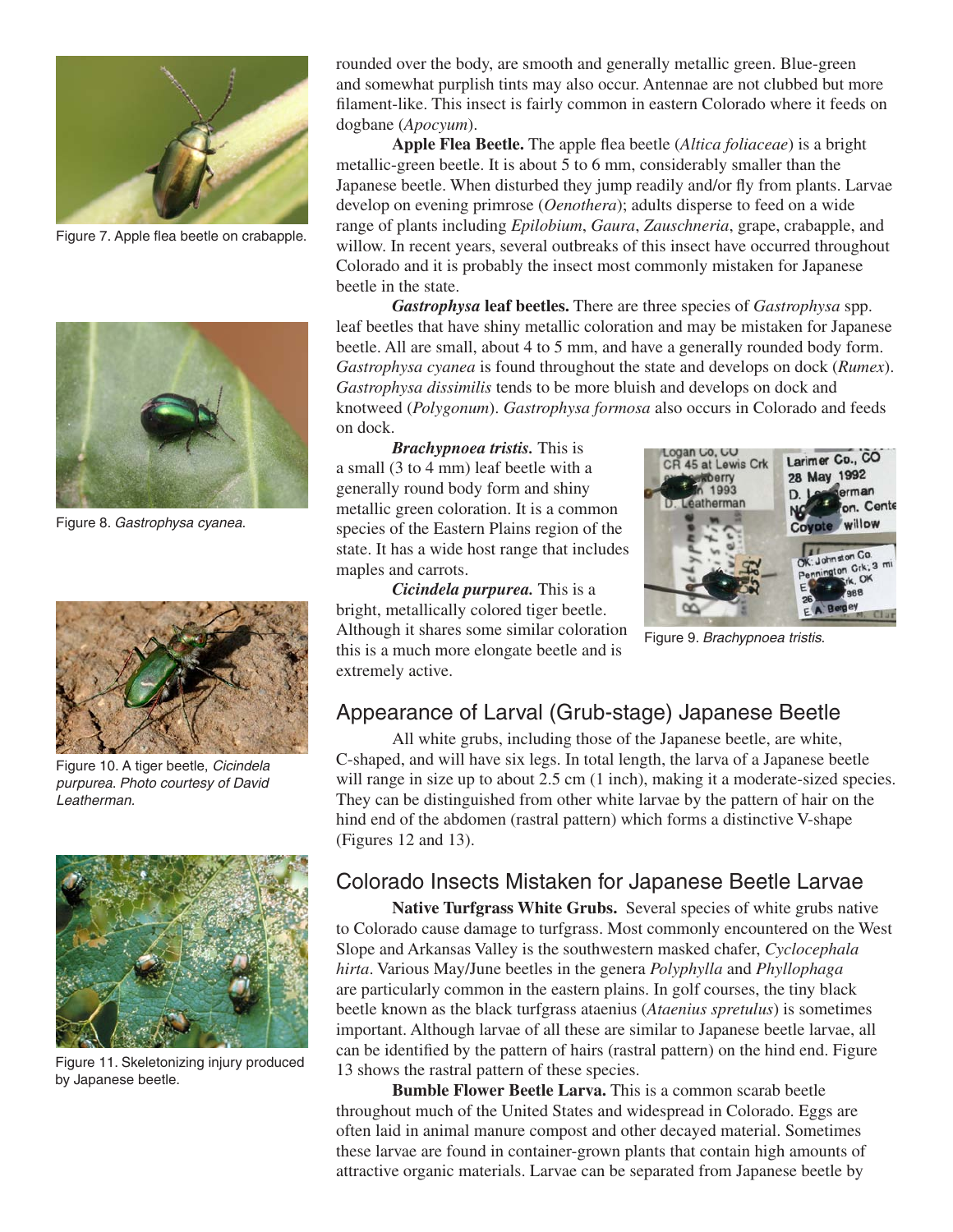

Figure 7. Apple flea beetle on crabapple.



Figure 8. *Gastrophysa cyanea*.



Figure 10. A tiger beetle, *Cicindela purpurea*. *Photo courtesy of David Leatherman.*



Figure 11. Skeletonizing injury produced by Japanese beetle.

rounded over the body, are smooth and generally metallic green. Blue-green and somewhat purplish tints may also occur. Antennae are not clubbed but more filament-like. This insect is fairly common in eastern Colorado where it feeds on dogbane (*Apocyum*).

**Apple Flea Beetle.** The apple flea beetle (*Altica foliaceae*) is a bright metallic-green beetle. It is about 5 to 6 mm, considerably smaller than the Japanese beetle. When disturbed they jump readily and/or fly from plants. Larvae develop on evening primrose (*Oenothera*); adults disperse to feed on a wide range of plants including *Epilobium*, *Gaura*, *Zauschneria*, grape, crabapple, and willow. In recent years, several outbreaks of this insect have occurred throughout Colorado and it is probably the insect most commonly mistaken for Japanese beetle in the state.

*Gastrophysa* **leaf beetles.** There are three species of *Gastrophysa* spp. leaf beetles that have shiny metallic coloration and may be mistaken for Japanese beetle. All are small, about 4 to 5 mm, and have a generally rounded body form. *Gastrophysa cyanea* is found throughout the state and develops on dock (*Rumex*). *Gastrophysa dissimilis* tends to be more bluish and develops on dock and knotweed (*Polygonum*). *Gastrophysa formosa* also occurs in Colorado and feeds on dock.

*Brachypnoea tristis.* This is a small (3 to 4 mm) leaf beetle with a generally round body form and shiny metallic green coloration. It is a common species of the Eastern Plains region of the state. It has a wide host range that includes maples and carrots.

*Cicindela purpurea.* This is a bright, metallically colored tiger beetle. Although it shares some similar coloration this is a much more elongate beetle and is extremely active.



Figure 9. *Brachypnoea tristis*.

### Appearance of Larval (Grub-stage) Japanese Beetle

All white grubs, including those of the Japanese beetle, are white, C-shaped, and will have six legs. In total length, the larva of a Japanese beetle will range in size up to about 2.5 cm  $(1 \text{ inch})$ , making it a moderate-sized species. They can be distinguished from other white larvae by the pattern of hair on the hind end of the abdomen (rastral pattern) which forms a distinctive V-shape (Figures 12 and 13).

#### Colorado Insects Mistaken for Japanese Beetle Larvae

**Native Turfgrass White Grubs.** Several species of white grubs native to Colorado cause damage to turfgrass. Most commonly encountered on the West Slope and Arkansas Valley is the southwestern masked chafer, *Cyclocephala hirta*. Various May/June beetles in the genera *Polyphylla* and *Phyllophaga* are particularly common in the eastern plains. In golf courses, the tiny black beetle known as the black turfgrass ataenius (*Ataenius spretulus*) is sometimes important. Although larvae of all these are similar to Japanese beetle larvae, all can be identified by the pattern of hairs (rastral pattern) on the hind end. Figure 13 shows the rastral pattern of these species.

**Bumble Flower Beetle Larva.** This is a common scarab beetle throughout much of the United States and widespread in Colorado. Eggs are often laid in animal manure compost and other decayed material. Sometimes these larvae are found in container-grown plants that contain high amounts of attractive organic materials. Larvae can be separated from Japanese beetle by